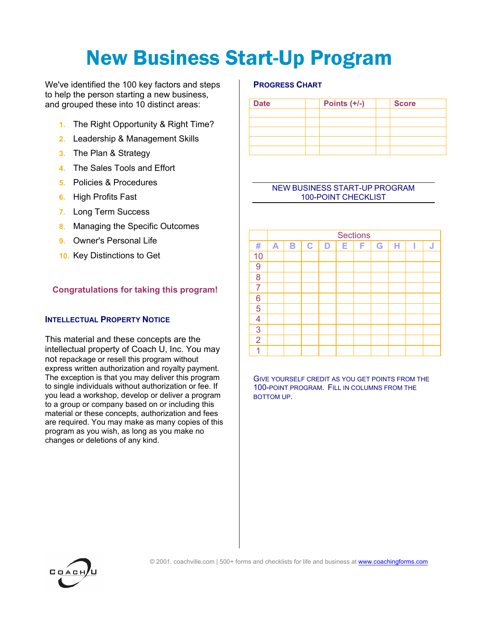# New Business Start-Up Program

We've identified the 100 key factors and steps to help the person starting a new business, and grouped these into 10 distinct areas:

- **1.** The Right Opportunity & Right Time?
- **2.** Leadership & Management Skills
- **3.** The Plan & Strategy
- **4.** The Sales Tools and Effort
- **5.** Policies & Procedures
- **6.** High Profits Fast
- **7.** Long Term Success
- **8.** Managing the Specific Outcomes
- **9.** Owner's Personal Life
- **10.** Key Distinctions to Get

# **Congratulations for taking this program!**

## **INTELLECTUAL PROPERTY NOTICE**

This material and these concepts are the intellectual property of Coach U, Inc. You may not repackage or resell this program without express written authorization and royalty payment. The exception is that you may deliver this program to single individuals without authorization or fee. If you lead a workshop, develop or deliver a program to a group or company based on or including this material or these concepts, authorization and fees are required. You may make as many copies of this program as you wish, as long as you make no changes or deletions of any kind.

### **PROGRESS CHART**

| <b>Date</b> | Points $(+/-)$ | <b>Score</b> |  |  |  |
|-------------|----------------|--------------|--|--|--|
|             |                |              |  |  |  |
|             |                |              |  |  |  |
|             |                |              |  |  |  |
|             |                |              |  |  |  |
|             |                |              |  |  |  |

### NEW BUSINESS START-UP PROGRAM 100-POINT CHECKLIST

|                | <b>Sections</b> |   |             |   |   |   |   |   |  |   |  |
|----------------|-----------------|---|-------------|---|---|---|---|---|--|---|--|
| #              | A               | B | $\mathbf C$ | D | Е | F | G | н |  | J |  |
| 10             |                 |   |             |   |   |   |   |   |  |   |  |
| 9              |                 |   |             |   |   |   |   |   |  |   |  |
| 8              |                 |   |             |   |   |   |   |   |  |   |  |
| $\overline{7}$ |                 |   |             |   |   |   |   |   |  |   |  |
| 6              |                 |   |             |   |   |   |   |   |  |   |  |
| 5              |                 |   |             |   |   |   |   |   |  |   |  |
| 4              |                 |   |             |   |   |   |   |   |  |   |  |
| 3              |                 |   |             |   |   |   |   |   |  |   |  |
| $\overline{2}$ |                 |   |             |   |   |   |   |   |  |   |  |
| и              |                 |   |             |   |   |   |   |   |  |   |  |

GIVE YOURSELF CREDIT AS YOU GET POINTS FROM THE 100-POINT PROGRAM. FILL IN COLUMNS FROM THE BOTTOM UP.

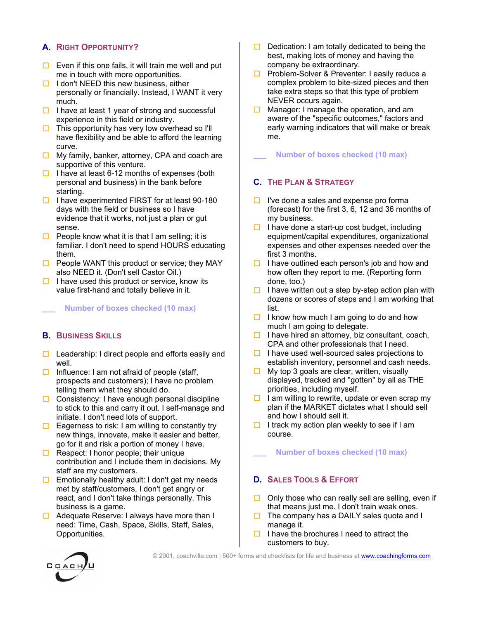# **A. RIGHT OPPORTUNITY?**

- $\Box$  Even if this one fails, it will train me well and put me in touch with more opportunities.
- $\Box$  I don't NEED this new business, either personally or financially. Instead, I WANT it very much.
- $\Box$  I have at least 1 year of strong and successful experience in this field or industry.
- $\Box$  This opportunity has very low overhead so I'll have flexibility and be able to afford the learning curve.
- $\Box$  My family, banker, attorney, CPA and coach are supportive of this venture.
- $\Box$  I have at least 6-12 months of expenses (both personal and business) in the bank before starting.
- $\Box$  I have experimented FIRST for at least 90-180 days with the field or business so I have evidence that it works, not just a plan or gut sense.
- $\Box$  People know what it is that I am selling; it is familiar. I don't need to spend HOURS educating them.
- $\Box$  People WANT this product or service; they MAY also NEED it. (Don't sell Castor Oil.)
- $\Box$  I have used this product or service, know its value first-hand and totally believe in it.

**\_\_\_ Number of boxes checked (10 max)** 

## **B. BUSINESS SKILLS**

- $\Box$  Leadership: I direct people and efforts easily and well.
- $\Box$  Influence: I am not afraid of people (staff, prospects and customers); I have no problem telling them what they should do.
- $\Box$  Consistency: I have enough personal discipline to stick to this and carry it out. I self-manage and initiate. I don't need lots of support.
- $\Box$  Eagerness to risk: I am willing to constantly try new things, innovate, make it easier and better, go for it and risk a portion of money I have.
- $\Box$  Respect: I honor people; their unique contribution and I include them in decisions. My staff are my customers.
- $\Box$  Emotionally healthy adult: I don't get my needs met by staff/customers, I don't get angry or react, and I don't take things personally. This business is a game.
- $\Box$  Adequate Reserve: I always have more than I need: Time, Cash, Space, Skills, Staff, Sales, Opportunities.
- $\Box$  Dedication: I am totally dedicated to being the best, making lots of money and having the company be extraordinary.
- $\Box$  Problem-Solver & Preventer: I easily reduce a complex problem to bite-sized pieces and then take extra steps so that this type of problem NEVER occurs again.
- $\Box$  Manager: I manage the operation, and am aware of the "specific outcomes," factors and early warning indicators that will make or break me.

**\_\_\_ Number of boxes checked (10 max)** 

## **C. THE PLAN & STRATEGY**

- $\Box$  I've done a sales and expense pro forma (forecast) for the first 3, 6, 12 and 36 months of my business.
- $\Box$  I have done a start-up cost budget, including equipment/capital expenditures, organizational expenses and other expenses needed over the first 3 months.
- $\Box$  I have outlined each person's job and how and how often they report to me. (Reporting form done, too.)
- $\Box$  I have written out a step by-step action plan with dozens or scores of steps and I am working that list.
- $\Box$  I know how much I am going to do and how much I am going to delegate.
- $\Box$  I have hired an attorney, biz consultant, coach, CPA and other professionals that I need.
- $\Box$  I have used well-sourced sales projections to establish inventory, personnel and cash needs.
- $\Box$  My top 3 goals are clear, written, visually displayed, tracked and "gotten" by all as THE priorities, including myself.
- $\Box$  I am willing to rewrite, update or even scrap my plan if the MARKET dictates what I should sell and how I should sell it.
- $\Box$  I track my action plan weekly to see if I am course.
	- **\_\_\_ Number of boxes checked (10 max)**

## **D. SALES TOOLS & EFFORT**

- $\Box$  Only those who can really sell are selling, even if that means just me. I don't train weak ones.
- $\Box$  The company has a DAILY sales quota and I manage it.
- $\Box$  I have the brochures I need to attract the customers to buy.



© 2001, coachville.com | 500+ forms and checklists for life and business at www.coachingforms.com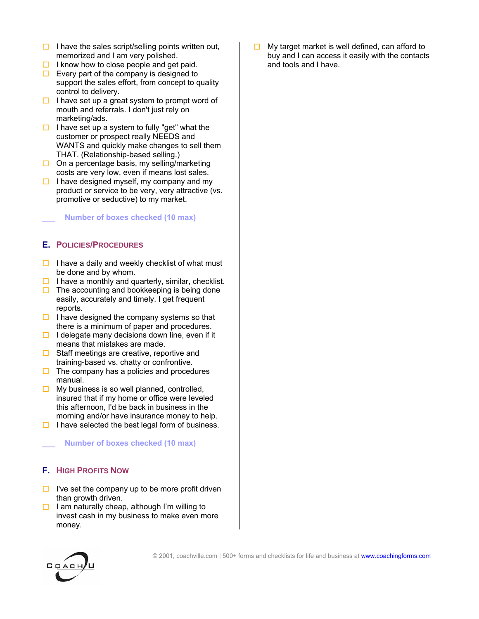- $\Box$  I have the sales script/selling points written out, memorized and I am very polished.
- $\Box$  I know how to close people and get paid.
- $\Box$  Every part of the company is designed to support the sales effort, from concept to quality control to delivery.
- $\Box$  I have set up a great system to prompt word of mouth and referrals. I don't just rely on marketing/ads.
- $\Box$  I have set up a system to fully "get" what the customer or prospect really NEEDS and WANTS and quickly make changes to sell them THAT. (Relationship-based selling.)
- $\Box$  On a percentage basis, my selling/marketing costs are very low, even if means lost sales.
- $\Box$  I have designed myself, my company and my product or service to be very, very attractive (vs. promotive or seductive) to my market.

**\_\_\_ Number of boxes checked (10 max)** 

## **E. POLICIES/PROCEDURES**

- $\Box$  I have a daily and weekly checklist of what must be done and by whom.
- $\Box$  I have a monthly and quarterly, similar, checklist.
- $\Box$  The accounting and bookkeeping is being done easily, accurately and timely. I get frequent reports.
- $\Box$  I have designed the company systems so that there is a minimum of paper and procedures.
- $\Box$  I delegate many decisions down line, even if it means that mistakes are made.
- $\Box$  Staff meetings are creative, reportive and training-based vs. chatty or confrontive.
- $\Box$  The company has a policies and procedures manual.
- $\Box$  My business is so well planned, controlled, insured that if my home or office were leveled this afternoon, I'd be back in business in the morning and/or have insurance money to help.
- $\Box$  I have selected the best legal form of business.

**\_\_\_ Number of boxes checked (10 max)** 

# **F. HIGH PROFITS NOW**

- $\Box$  I've set the company up to be more profit driven than growth driven.
- $\Box$  I am naturally cheap, although I'm willing to invest cash in my business to make even more money.



 $\Box$  My target market is well defined, can afford to buy and I can access it easily with the contacts and tools and I have.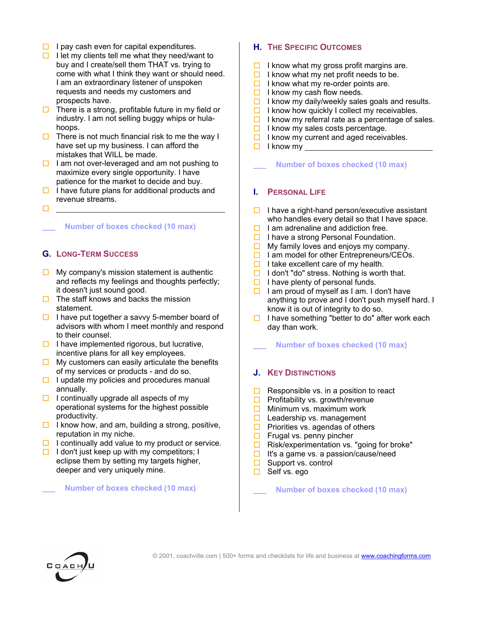- $\Box$  I pay cash even for capital expenditures.
- $\Box$  I let my clients tell me what they need/want to buy and I create/sell them THAT vs. trying to come with what I think they want or should need. I am an extraordinary listener of unspoken requests and needs my customers and prospects have.
- $\Box$  There is a strong, profitable future in my field or industry. I am not selling buggy whips or hulahoops.
- $\Box$  There is not much financial risk to me the way I have set up my business. I can afford the mistakes that WILL be made.
- $\Box$  I am not over-leveraged and am not pushing to maximize every single opportunity. I have patience for the market to decide and buy.
- $\Box$  I have future plans for additional products and revenue streams.
- п

## **\_\_\_ Number of boxes checked (10 max)**

## **G. LONG-TERM SUCCESS**

- $\Box$  My company's mission statement is authentic and reflects my feelings and thoughts perfectly; it doesn't just sound good.
- $\Box$  The staff knows and backs the mission statement.
- $\Box$  I have put together a savvy 5-member board of advisors with whom I meet monthly and respond to their counsel.
- $\Box$  I have implemented rigorous, but lucrative, incentive plans for all key employees.
- $\Box$  My customers can easily articulate the benefits of my services or products - and do so.
- $\Box$  I update my policies and procedures manual annually.
- $\Box$  I continually upgrade all aspects of my operational systems for the highest possible productivity.
- $\Box$  I know how, and am, building a strong, positive, reputation in my niche.
- $\Box$  I continually add value to my product or service.
- $\Box$  I don't just keep up with my competitors; I eclipse them by setting my targets higher, deeper and very uniquely mine.

#### **\_\_\_ Number of boxes checked (10 max)**

# **H. THE SPECIFIC OUTCOMES**

- $\Box$  I know what my gross profit margins are.
- $\Box$  I know what my net profit needs to be.
- $\Box$  I know what my re-order points are.
- $\Box$  I know my cash flow needs.
- $\Box$  I know my daily/weekly sales goals and results.
- $\Box$  I know how quickly I collect my receivables.
- $\Box$  I know my referral rate as a percentage of sales.
- $\Box$  I know my sales costs percentage.
- $\Box$  I know my current and aged receivables.
- $\Box$  I know my

**\_\_\_ Number of boxes checked (10 max)** 

## **I. PERSONAL LIFE**

- $\Box$  I have a right-hand person/executive assistant who handles every detail so that I have space.
- $\Box$  I am adrenaline and addiction free.
- $\Box$  I have a strong Personal Foundation.
- $\Box$  My family loves and enjoys my company.
- $\Box$  I am model for other Entrepreneurs/CEOs.
- $\Box$  I take excellent care of my health.
- $\Box$  I don't "do" stress. Nothing is worth that.
- $\Box$  I have plenty of personal funds.
- $\Box$  I am proud of myself as I am. I don't have anything to prove and I don't push myself hard. I know it is out of integrity to do so.
- $\Box$  I have something "better to do" after work each day than work.

**\_\_\_ Number of boxes checked (10 max)** 

# **J. KEY DISTINCTIONS**

- $\square$  Responsible vs. in a position to react  $\square$  Profitability vs. growth/revenue
- Profitability vs. growth/revenue
- $\Box$  Minimum vs. maximum work
- $\Box$  Leadership vs. management
- $\Box$  Priorities vs. agendas of others
- $\Box$  Frugal vs. penny pincher
- $\Box$  Risk/experimentation vs. "going for broke"
- $\Box$  It's a game vs. a passion/cause/need
- $\Box$  Support vs. control
- □ Self vs. ego

**\_\_\_ Number of boxes checked (10 max)**